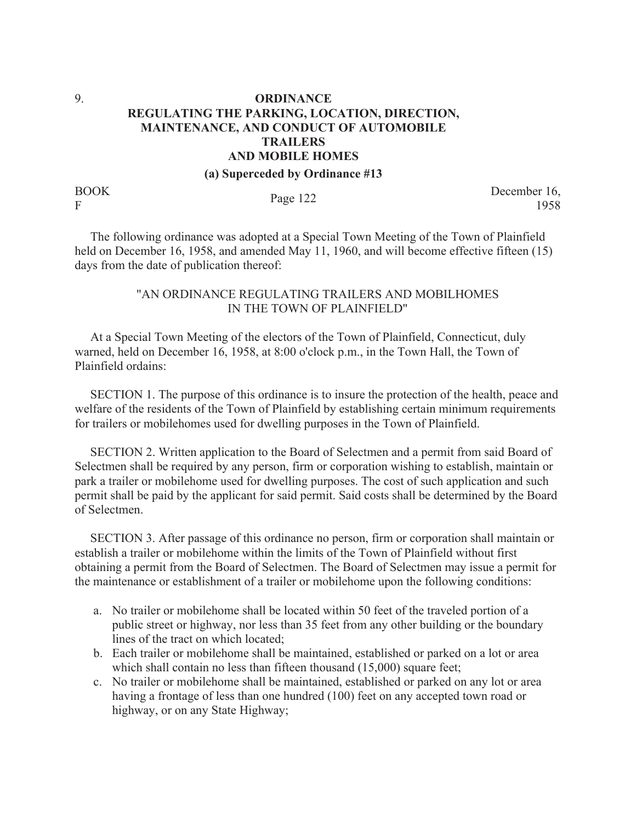## 9. **ORDINANCE REGULATING THE PARKING, LOCATION, DIRECTION, MAINTENANCE, AND CONDUCT OF AUTOMOBILE TRAILERS AND MOBILE HOMES**

**(a) Superceded by Ordinance #13**

BOOK

BOOK<br>F Page 122 December 16,<br>1958 1958

 The following ordinance was adopted at a Special Town Meeting of the Town of Plainfield held on December 16, 1958, and amended May 11, 1960, and will become effective fifteen (15) days from the date of publication thereof:

## "AN ORDINANCE REGULATING TRAILERS AND MOBILHOMES IN THE TOWN OF PLAINFIELD"

 At a Special Town Meeting of the electors of the Town of Plainfield, Connecticut, duly warned, held on December 16, 1958, at 8:00 o'clock p.m., in the Town Hall, the Town of Plainfield ordains:

 SECTION 1. The purpose of this ordinance is to insure the protection of the health, peace and welfare of the residents of the Town of Plainfield by establishing certain minimum requirements for trailers or mobilehomes used for dwelling purposes in the Town of Plainfield.

 SECTION 2. Written application to the Board of Selectmen and a permit from said Board of Selectmen shall be required by any person, firm or corporation wishing to establish, maintain or park a trailer or mobilehome used for dwelling purposes. The cost of such application and such permit shall be paid by the applicant for said permit. Said costs shall be determined by the Board of Selectmen.

 SECTION 3. After passage of this ordinance no person, firm or corporation shall maintain or establish a trailer or mobilehome within the limits of the Town of Plainfield without first obtaining a permit from the Board of Selectmen. The Board of Selectmen may issue a permit for the maintenance or establishment of a trailer or mobilehome upon the following conditions:

- a. No trailer or mobilehome shall be located within 50 feet of the traveled portion of a public street or highway, nor less than 35 feet from any other building or the boundary lines of the tract on which located;
- b. Each trailer or mobilehome shall be maintained, established or parked on a lot or area which shall contain no less than fifteen thousand (15,000) square feet;
- c. No trailer or mobilehome shall be maintained, established or parked on any lot or area having a frontage of less than one hundred (100) feet on any accepted town road or highway, or on any State Highway;